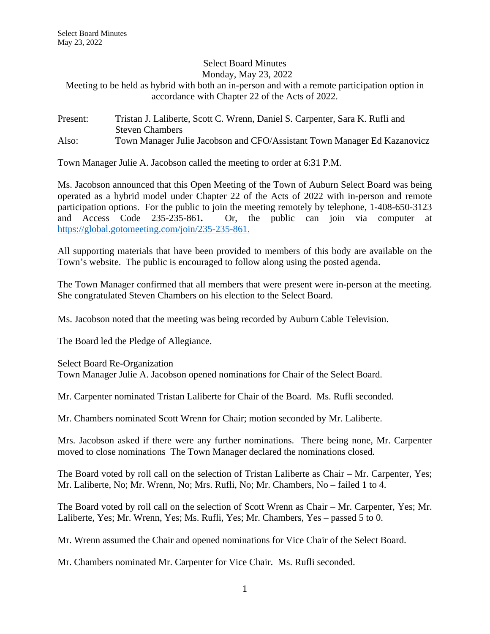Select Board Minutes Monday, May 23, 2022

Meeting to be held as hybrid with both an in-person and with a remote participation option in accordance with Chapter 22 of the Acts of 2022.

## Present: Tristan J. Laliberte, Scott C. Wrenn, Daniel S. Carpenter, Sara K. Rufli and Steven Chambers Also: Town Manager Julie Jacobson and CFO/Assistant Town Manager Ed Kazanovicz

Town Manager Julie A. Jacobson called the meeting to order at 6:31 P.M.

Ms. Jacobson announced that this Open Meeting of the Town of Auburn Select Board was being operated as a hybrid model under Chapter 22 of the Acts of 2022 with in-person and remote participation options. For the public to join the meeting remotely by telephone, 1-408-650-3123 and Access Code 235-235-861*.* Or, the public can join via computer at [https://global.gotomeeting.com/join/235-235-861.](https://global.gotomeeting.com/join/235-235-861)

All supporting materials that have been provided to members of this body are available on the Town's website. The public is encouraged to follow along using the posted agenda.

The Town Manager confirmed that all members that were present were in-person at the meeting. She congratulated Steven Chambers on his election to the Select Board.

Ms. Jacobson noted that the meeting was being recorded by Auburn Cable Television.

The Board led the Pledge of Allegiance.

## Select Board Re-Organization

Town Manager Julie A. Jacobson opened nominations for Chair of the Select Board.

Mr. Carpenter nominated Tristan Laliberte for Chair of the Board. Ms. Rufli seconded.

Mr. Chambers nominated Scott Wrenn for Chair; motion seconded by Mr. Laliberte.

Mrs. Jacobson asked if there were any further nominations. There being none, Mr. Carpenter moved to close nominations The Town Manager declared the nominations closed.

The Board voted by roll call on the selection of Tristan Laliberte as Chair – Mr. Carpenter, Yes; Mr. Laliberte, No; Mr. Wrenn, No; Mrs. Rufli, No; Mr. Chambers, No – failed 1 to 4.

The Board voted by roll call on the selection of Scott Wrenn as Chair – Mr. Carpenter, Yes; Mr. Laliberte, Yes; Mr. Wrenn, Yes; Ms. Rufli, Yes; Mr. Chambers, Yes – passed 5 to 0.

Mr. Wrenn assumed the Chair and opened nominations for Vice Chair of the Select Board.

Mr. Chambers nominated Mr. Carpenter for Vice Chair. Ms. Rufli seconded.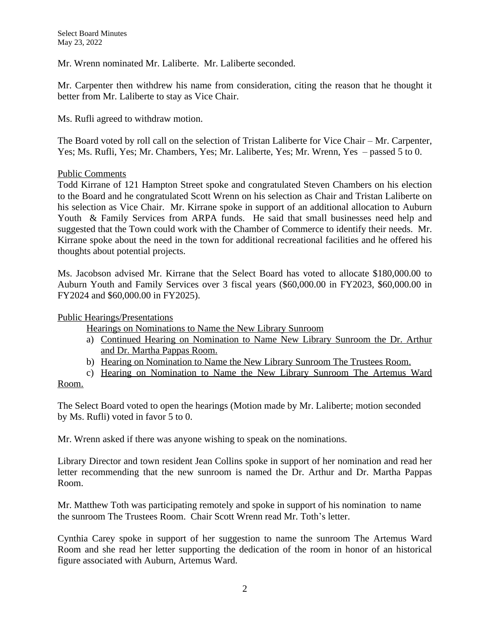Mr. Wrenn nominated Mr. Laliberte. Mr. Laliberte seconded.

Mr. Carpenter then withdrew his name from consideration, citing the reason that he thought it better from Mr. Laliberte to stay as Vice Chair.

Ms. Rufli agreed to withdraw motion.

The Board voted by roll call on the selection of Tristan Laliberte for Vice Chair – Mr. Carpenter, Yes; Ms. Rufli, Yes; Mr. Chambers, Yes; Mr. Laliberte, Yes; Mr. Wrenn, Yes – passed 5 to 0.

# Public Comments

Todd Kirrane of 121 Hampton Street spoke and congratulated Steven Chambers on his election to the Board and he congratulated Scott Wrenn on his selection as Chair and Tristan Laliberte on his selection as Vice Chair. Mr. Kirrane spoke in support of an additional allocation to Auburn Youth & Family Services from ARPA funds. He said that small businesses need help and suggested that the Town could work with the Chamber of Commerce to identify their needs. Mr. Kirrane spoke about the need in the town for additional recreational facilities and he offered his thoughts about potential projects.

Ms. Jacobson advised Mr. Kirrane that the Select Board has voted to allocate \$180,000.00 to Auburn Youth and Family Services over 3 fiscal years (\$60,000.00 in FY2023, \$60,000.00 in FY2024 and \$60,000.00 in FY2025).

Public Hearings/Presentations

Hearings on Nominations to Name the New Library Sunroom

- a) Continued Hearing on Nomination to Name New Library Sunroom the Dr. Arthur and Dr. Martha Pappas Room.
- b) Hearing on Nomination to Name the New Library Sunroom The Trustees Room.

c) Hearing on Nomination to Name the New Library Sunroom The Artemus Ward

#### Room.

The Select Board voted to open the hearings (Motion made by Mr. Laliberte; motion seconded by Ms. Rufli) voted in favor 5 to 0.

Mr. Wrenn asked if there was anyone wishing to speak on the nominations.

Library Director and town resident Jean Collins spoke in support of her nomination and read her letter recommending that the new sunroom is named the Dr. Arthur and Dr. Martha Pappas Room.

Mr. Matthew Toth was participating remotely and spoke in support of his nomination to name the sunroom The Trustees Room. Chair Scott Wrenn read Mr. Toth's letter.

Cynthia Carey spoke in support of her suggestion to name the sunroom The Artemus Ward Room and she read her letter supporting the dedication of the room in honor of an historical figure associated with Auburn, Artemus Ward.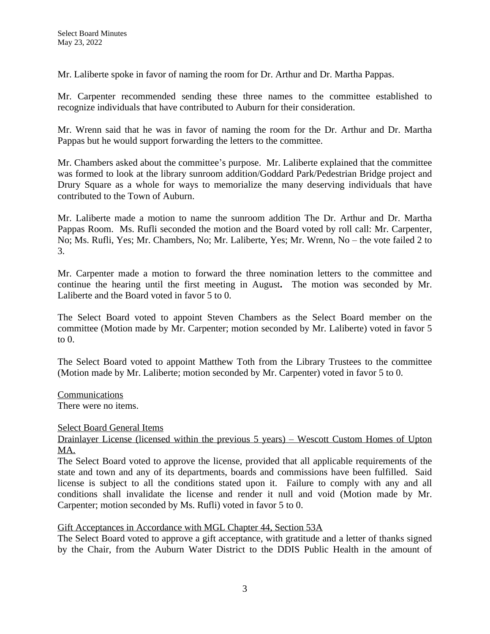Mr. Laliberte spoke in favor of naming the room for Dr. Arthur and Dr. Martha Pappas.

Mr. Carpenter recommended sending these three names to the committee established to recognize individuals that have contributed to Auburn for their consideration.

Mr. Wrenn said that he was in favor of naming the room for the Dr. Arthur and Dr. Martha Pappas but he would support forwarding the letters to the committee.

Mr. Chambers asked about the committee's purpose. Mr. Laliberte explained that the committee was formed to look at the library sunroom addition/Goddard Park/Pedestrian Bridge project and Drury Square as a whole for ways to memorialize the many deserving individuals that have contributed to the Town of Auburn.

Mr. Laliberte made a motion to name the sunroom addition The Dr. Arthur and Dr. Martha Pappas Room. Ms. Rufli seconded the motion and the Board voted by roll call: Mr. Carpenter, No; Ms. Rufli, Yes; Mr. Chambers, No; Mr. Laliberte, Yes; Mr. Wrenn, No – the vote failed 2 to 3.

Mr. Carpenter made a motion to forward the three nomination letters to the committee and continue the hearing until the first meeting in August**.** The motion was seconded by Mr. Laliberte and the Board voted in favor 5 to 0.

The Select Board voted to appoint Steven Chambers as the Select Board member on the committee (Motion made by Mr. Carpenter; motion seconded by Mr. Laliberte) voted in favor 5 to 0.

The Select Board voted to appoint Matthew Toth from the Library Trustees to the committee (Motion made by Mr. Laliberte; motion seconded by Mr. Carpenter) voted in favor 5 to 0.

Communications There were no items.

Select Board General Items

Drainlayer License (licensed within the previous 5 years) – Wescott Custom Homes of Upton MA.

The Select Board voted to approve the license, provided that all applicable requirements of the state and town and any of its departments, boards and commissions have been fulfilled. Said license is subject to all the conditions stated upon it. Failure to comply with any and all conditions shall invalidate the license and render it null and void (Motion made by Mr. Carpenter; motion seconded by Ms. Rufli) voted in favor 5 to 0.

## Gift Acceptances in Accordance with MGL Chapter 44, Section 53A

The Select Board voted to approve a gift acceptance, with gratitude and a letter of thanks signed by the Chair, from the Auburn Water District to the DDIS Public Health in the amount of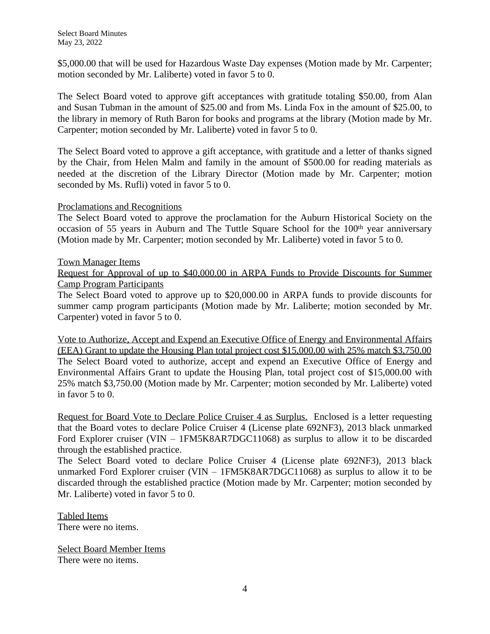\$5,000.00 that will be used for Hazardous Waste Day expenses (Motion made by Mr. Carpenter; motion seconded by Mr. Laliberte) voted in favor 5 to 0.

The Select Board voted to approve gift acceptances with gratitude totaling \$50.00, from Alan and Susan Tubman in the amount of \$25.00 and from Ms. Linda Fox in the amount of \$25.00, to the library in memory of Ruth Baron for books and programs at the library (Motion made by Mr. Carpenter; motion seconded by Mr. Laliberte) voted in favor 5 to 0.

The Select Board voted to approve a gift acceptance, with gratitude and a letter of thanks signed by the Chair, from Helen Malm and family in the amount of \$500.00 for reading materials as needed at the discretion of the Library Director (Motion made by Mr. Carpenter; motion seconded by Ms. Rufli) voted in favor 5 to 0.

## Proclamations and Recognitions

The Select Board voted to approve the proclamation for the Auburn Historical Society on the occasion of 55 years in Auburn and The Tuttle Square School for the 100<sup>th</sup> year anniversary (Motion made by Mr. Carpenter; motion seconded by Mr. Laliberte) voted in favor 5 to 0.

### Town Manager Items

Request for Approval of up to \$40,000.00 in ARPA Funds to Provide Discounts for Summer Camp Program Participants

The Select Board voted to approve up to \$20,000.00 in ARPA funds to provide discounts for summer camp program participants (Motion made by Mr. Laliberte; motion seconded by Mr. Carpenter) voted in favor 5 to 0.

Vote to Authorize, Accept and Expend an Executive Office of Energy and Environmental Affairs (EEA) Grant to update the Housing Plan total project cost \$15,000.00 with 25% match \$3,750.00 The Select Board voted to authorize, accept and expend an Executive Office of Energy and Environmental Affairs Grant to update the Housing Plan, total project cost of \$15,000.00 with 25% match \$3,750.00 (Motion made by Mr. Carpenter; motion seconded by Mr. Laliberte) voted in favor 5 to 0.

Request for Board Vote to Declare Police Cruiser 4 as Surplus. Enclosed is a letter requesting that the Board votes to declare Police Cruiser 4 (License plate 692NF3), 2013 black unmarked Ford Explorer cruiser (VIN – 1FM5K8AR7DGC11068) as surplus to allow it to be discarded through the established practice.

The Select Board voted to declare Police Cruiser 4 (License plate 692NF3), 2013 black unmarked Ford Explorer cruiser (VIN – 1FM5K8AR7DGC11068) as surplus to allow it to be discarded through the established practice (Motion made by Mr. Carpenter; motion seconded by Mr. Laliberte) voted in favor 5 to 0.

Tabled Items There were no items.

Select Board Member Items There were no items.